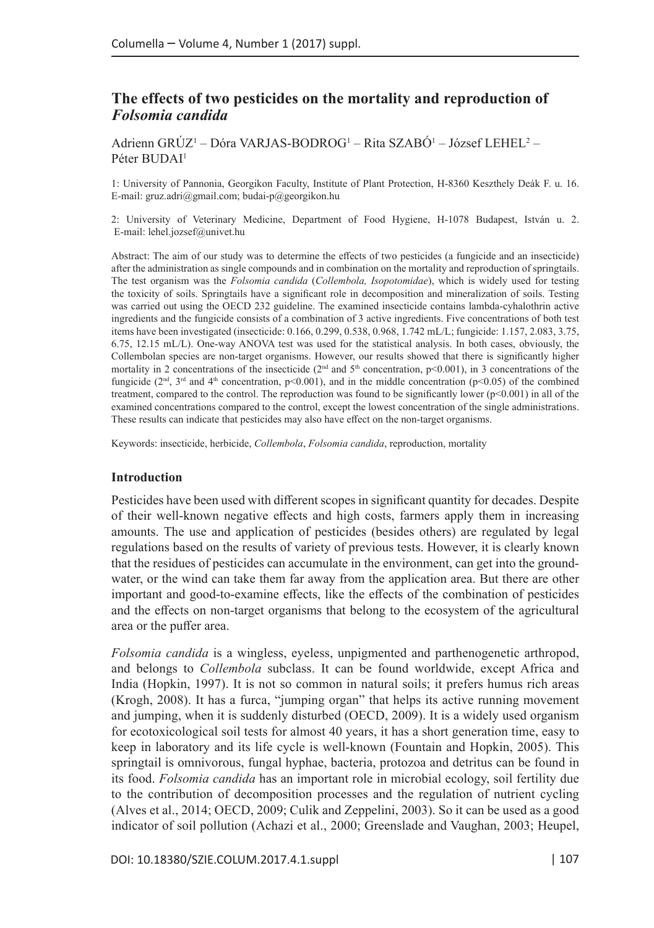# **The effects of two pesticides on the mortality and reproduction of**  *Folsomia candida*

Adrienn GRÚZ<sup>1</sup> – Dóra VARJAS-BODROG<sup>1</sup> – Rita SZABÓ<sup>1</sup> – József LEHEL<sup>2</sup> – Péter BUDAI<sup>1</sup>

1: University of Pannonia, Georgikon Faculty, Institute of Plant Protection, H-8360 Keszthely Deák F. u. 16. E-mail: [gruz.adri@gmail.com](mailto:gruz.adri@gmail.com); [budai-p@georgikon.hu](mailto:budai-p@georgikon.hu)

2: University of Veterinary Medicine, Department of Food Hygiene, H-1078 Budapest, István u. 2. E-mail: [lehel.jozsef@univet.hu](mailto:lehel.jozsef@univet.hu)

Abstract: The aim of our study was to determine the effects of two pesticides (a fungicide and an insecticide) after the administration as single compounds and in combination on the mortality and reproduction of springtails. The test organism was the *Folsomia candida* (*Collembola, Isopotomidae*), which is widely used for testing the toxicity of soils. Springtails have a significant role in decomposition and mineralization of soils. Testing was carried out using the OECD 232 guideline. The examined insecticide contains lambda-cyhalothrin active ingredients and the fungicide consists of a combination of 3 active ingredients. Five concentrations of both test items have been investigated (insecticide: 0.166, 0.299, 0.538, 0.968, 1.742 mL/L; fungicide: 1.157, 2.083, 3.75, 6.75, 12.15 mL/L). One-way ANOVA test was used for the statistical analysis. In both cases, obviously, the Collembolan species are non-target organisms. However, our results showed that there is significantly higher mortality in 2 concentrations of the insecticide ( $2<sup>nd</sup>$  and  $5<sup>th</sup>$  concentration, p<0.001), in 3 concentrations of the fungicide ( $2<sup>nd</sup>$ ,  $3<sup>rd</sup>$  and  $4<sup>th</sup>$  concentration, p<0.001), and in the middle concentration (p<0.05) of the combined treatment, compared to the control. The reproduction was found to be significantly lower (p<0.001) in all of the examined concentrations compared to the control, except the lowest concentration of the single administrations. These results can indicate that pesticides may also have effect on the non-target organisms.

Keywords: insecticide, herbicide, *Collembola*, *Folsomia candida*, reproduction, mortality

#### **Introduction**

Pesticides have been used with different scopes in significant quantity for decades. Despite of their well-known negative effects and high costs, farmers apply them in increasing amounts. The use and application of pesticides (besides others) are regulated by legal regulations based on the results of variety of previous tests. However, it is clearly known that the residues of pesticides can accumulate in the environment, can get into the groundwater, or the wind can take them far away from the application area. But there are other important and good-to-examine effects, like the effects of the combination of pesticides and the effects on non-target organisms that belong to the ecosystem of the agricultural area or the puffer area.

*Folsomia candida* is a wingless, eyeless, unpigmented and parthenogenetic arthropod, and belongs to *Collembola* subclass. It can be found worldwide, except Africa and India (Hopkin, 1997). It is not so common in natural soils; it prefers humus rich areas (Krogh, 2008). It has a furca, "jumping organ" that helps its active running movement and jumping, when it is suddenly disturbed (OECD, 2009). It is a widely used organism for ecotoxicological soil tests for almost 40 years, it has a short generation time, easy to keep in laboratory and its life cycle is well-known (Fountain and Hopkin, 2005). This springtail is omnivorous, fungal hyphae, bacteria, protozoa and detritus can be found in its food. *Folsomia candida* has an important role in microbial ecology, soil fertility due to the contribution of decomposition processes and the regulation of nutrient cycling (Alves et al., 2014; OECD, 2009; Culik and Zeppelini, 2003). So it can be used as a good indicator of soil pollution (Achazi et al., 2000; Greenslade and Vaughan, 2003; Heupel,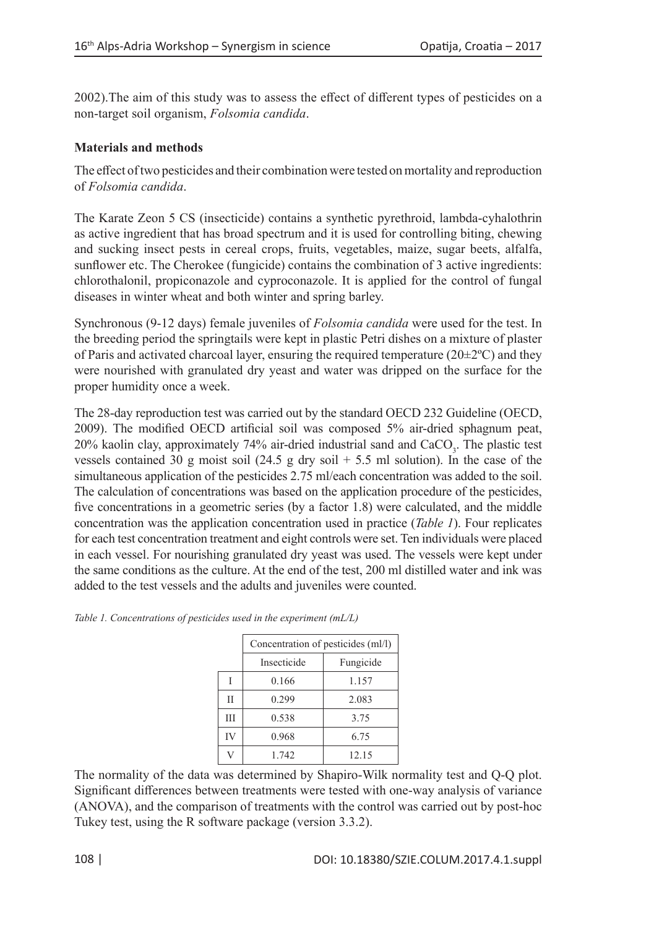2002).The aim of this study was to assess the effect of different types of pesticides on a non-target soil organism, *Folsomia candida*.

## **Materials and methods**

The effect of two pesticides and their combination were tested on mortality and reproduction of *Folsomia candida*.

The Karate Zeon 5 CS (insecticide) contains a synthetic pyrethroid, lambda-cyhalothrin as active ingredient that has broad spectrum and it is used for controlling biting, chewing and sucking insect pests in cereal crops, fruits, vegetables, maize, sugar beets, alfalfa, sunflower etc. The Cherokee (fungicide) contains the combination of 3 active ingredients: chlorothalonil, propiconazole and cyproconazole. It is applied for the control of fungal diseases in winter wheat and both winter and spring barley.

Synchronous (9-12 days) female juveniles of *Folsomia candida* were used for the test. In the breeding period the springtails were kept in plastic Petri dishes on a mixture of plaster of Paris and activated charcoal layer, ensuring the required temperature  $(20\pm2°C)$  and they were nourished with granulated dry yeast and water was dripped on the surface for the proper humidity once a week.

The 28-day reproduction test was carried out by the standard OECD 232 Guideline (OECD, 2009). The modified OECD artificial soil was composed 5% air-dried sphagnum peat, 20% kaolin clay, approximately 74% air-dried industrial sand and CaCO<sub>3</sub>. The plastic test vessels contained 30 g moist soil  $(24.5 \text{ g dry soil} + 5.5 \text{ ml solution})$ . In the case of the simultaneous application of the pesticides 2.75 ml/each concentration was added to the soil. The calculation of concentrations was based on the application procedure of the pesticides, five concentrations in a geometric series (by a factor 1.8) were calculated, and the middle concentration was the application concentration used in practice (*Table 1*). Four replicates for each test concentration treatment and eight controls were set. Ten individuals were placed in each vessel. For nourishing granulated dry yeast was used. The vessels were kept under the same conditions as the culture. At the end of the test, 200 ml distilled water and ink was added to the test vessels and the adults and juveniles were counted.

|    | Concentration of pesticides (ml/l) |           |  |  |  |  |
|----|------------------------------------|-----------|--|--|--|--|
|    | Insecticide                        | Fungicide |  |  |  |  |
|    | 0.166                              | 1.157     |  |  |  |  |
| ĪĪ | 0.299                              | 2.083     |  |  |  |  |
| Ш  | 0.538                              | 3.75      |  |  |  |  |
| IV | 0.968                              | 6.75      |  |  |  |  |
|    | 1.742                              | 12.15     |  |  |  |  |

*Table 1. Concentrations of pesticides used in the experiment (mL/L)*

The normality of the data was determined by Shapiro-Wilk normality test and Q-Q plot. Significant differences between treatments were tested with one-way analysis of variance (ANOVA), and the comparison of treatments with the control was carried out by post-hoc Tukey test, using the R software package (version 3.3.2).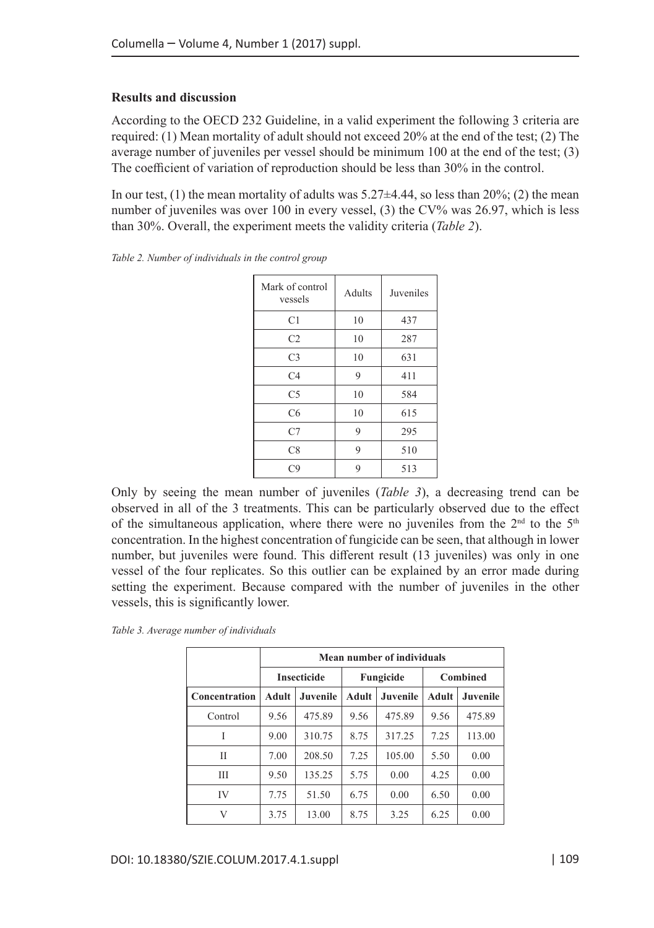### **Results and discussion**

According to the OECD 232 Guideline, in a valid experiment the following 3 criteria are required: (1) Mean mortality of adult should not exceed 20% at the end of the test; (2) The average number of juveniles per vessel should be minimum 100 at the end of the test; (3) The coefficient of variation of reproduction should be less than 30% in the control.

In our test, (1) the mean mortality of adults was  $5.27\pm4.44$ , so less than  $20\%$ ; (2) the mean number of juveniles was over 100 in every vessel, (3) the CV% was 26.97, which is less than 30%. Overall, the experiment meets the validity criteria (*Table 2*).

| Mark of control<br>vessels | Adults | Juveniles         |  |
|----------------------------|--------|-------------------|--|
| C <sub>1</sub>             | 10     | 437               |  |
| C <sub>2</sub>             | 10     | 287               |  |
| C <sub>3</sub>             | 10     | 631<br>411<br>584 |  |
| C <sub>4</sub>             | 9      |                   |  |
| C <sub>5</sub>             | 10     |                   |  |
| C <sub>6</sub>             | 10     | 615               |  |
| C7                         | 9      | 295               |  |
| C8                         | 9      | 510               |  |
| C9                         | 9      | 513               |  |

*Table 2. Number of individuals in the control group*

Only by seeing the mean number of juveniles (*Table 3*), a decreasing trend can be observed in all of the 3 treatments. This can be particularly observed due to the effect of the simultaneous application, where there were no juveniles from the  $2<sup>nd</sup>$  to the  $5<sup>th</sup>$ concentration. In the highest concentration of fungicide can be seen, that although in lower number, but juveniles were found. This different result (13 juveniles) was only in one vessel of the four replicates. So this outlier can be explained by an error made during setting the experiment. Because compared with the number of juveniles in the other vessels, this is significantly lower.

| Table 3. Average number of individuals |  |  |
|----------------------------------------|--|--|
|----------------------------------------|--|--|

|               | Mean number of individuals |                 |           |          |                 |          |
|---------------|----------------------------|-----------------|-----------|----------|-----------------|----------|
|               | <b>Insecticide</b>         |                 | Fungicide |          | <b>Combined</b> |          |
| Concentration | Adult                      | <b>Juvenile</b> | Adult     | Juvenile | Adult           | Juvenile |
| Control       | 9.56                       | 475.89          | 9.56      | 475.89   | 9.56            | 475.89   |
| Ī             | 9.00                       | 310.75          | 8.75      | 317.25   | 7.25            | 113.00   |
| П             | 7.00                       | 208.50          | 7.25      | 105.00   | 5.50            | 0.00     |
| Ш             | 9.50                       | 135.25          | 5.75      | 0.00     | 4.25            | 0.00     |
| IV            | 7.75                       | 51.50           | 6.75      | 0.00     | 6.50            | 0.00     |
| V             | 3.75                       | 13.00           | 8.75      | 3.25     | 6.25            | 0.00     |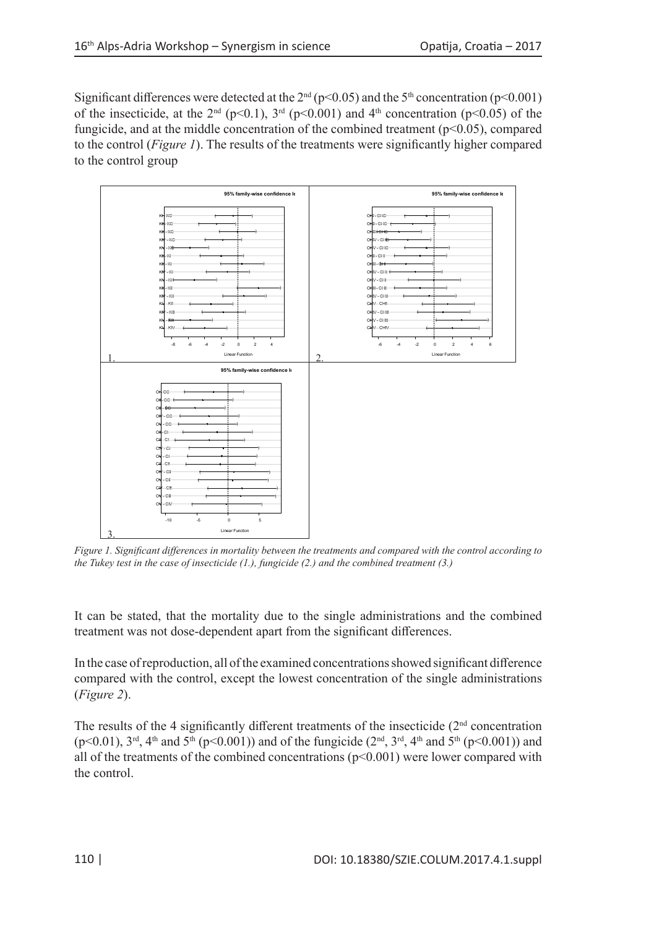Significant differences were detected at the  $2<sup>nd</sup>$  (p<0.05) and the 5<sup>th</sup> concentration (p<0.001) of the insecticide, at the  $2<sup>nd</sup>$  (p<0.1),  $3<sup>rd</sup>$  (p<0.001) and  $4<sup>th</sup>$  concentration (p<0.05) of the fungicide, and at the middle concentration of the combined treatment  $(p<0.05)$ , compared to the control (*Figure 1*). The results of the treatments were significantly higher compared to the control group



*Figure 1. Significant differences in mortality between the treatments and compared with the control according to the Tukey test in the case of insecticide (1.), fungicide (2.) and the combined treatment (3.)*

It can be stated, that the mortality due to the single administrations and the combined treatment was not dose-dependent apart from the significant differences.

In the case of reproduction, all of the examined concentrations showed significant difference compared with the control, except the lowest concentration of the single administrations (*Figure 2*).

The results of the 4 significantly different treatments of the insecticide  $(2<sup>nd</sup>$  concentration  $(p<0.01)$ ,  $3<sup>rd</sup>$ ,  $4<sup>th</sup>$  and  $5<sup>th</sup>$  (p $<0.001$ )) and of the fungicide ( $2<sup>nd</sup>$ ,  $3<sup>rd</sup>$ ,  $4<sup>th</sup>$  and  $5<sup>th</sup>$  (p $<0.001$ )) and all of the treatments of the combined concentrations  $(p<0.001)$  were lower compared with the control.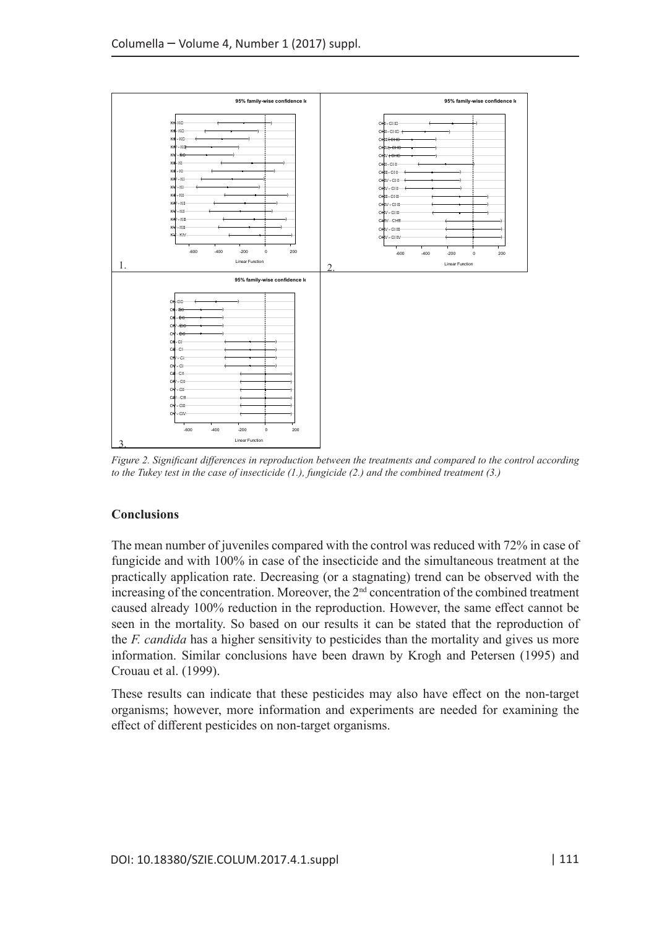

*Figure 2. Significant differences in reproduction between the treatments and compared to the control according to the Tukey test in the case of insecticide (1.), fungicide (2.) and the combined treatment (3.)*

## **Conclusions**

The mean number of juveniles compared with the control was reduced with 72% in case of fungicide and with 100% in case of the insecticide and the simultaneous treatment at the practically application rate. Decreasing (or a stagnating) trend can be observed with the increasing of the concentration. Moreover, the  $2<sup>nd</sup>$  concentration of the combined treatment caused already 100% reduction in the reproduction. However, the same effect cannot be seen in the mortality. So based on our results it can be stated that the reproduction of the *F. candida* has a higher sensitivity to pesticides than the mortality and gives us more information. Similar conclusions have been drawn by Krogh and Petersen (1995) and Crouau et al. (1999).

These results can indicate that these pesticides may also have effect on the non-target organisms; however, more information and experiments are needed for examining the effect of different pesticides on non-target organisms.